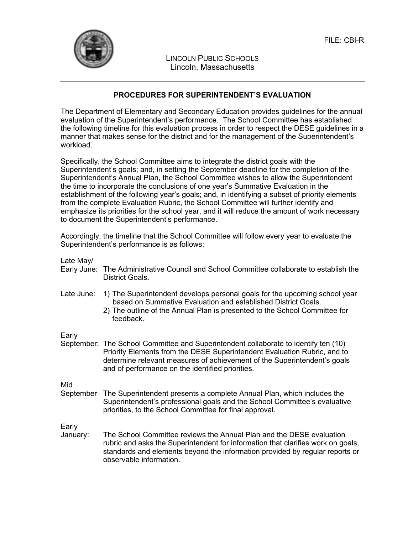

LINCOLN PUBLIC SCHOOLS Lincoln, Massachusetts

## **PROCEDURES FOR SUPERINTENDENT'S EVALUATION**

The Department of Elementary and Secondary Education provides guidelines for the annual evaluation of the Superintendent's performance. The School Committee has established the following timeline for this evaluation process in order to respect the DESE guidelines in a manner that makes sense for the district and for the management of the Superintendent's workload.

Specifically, the School Committee aims to integrate the district goals with the Superintendent's goals; and, in setting the September deadline for the completion of the Superintendent's Annual Plan, the School Committee wishes to allow the Superintendent the time to incorporate the conclusions of one year's Summative Evaluation in the establishment of the following year's goals; and, in identifying a subset of priority elements from the complete Evaluation Rubric, the School Committee will further identify and emphasize its priorities for the school year, and it will reduce the amount of work necessary to document the Superintendent's performance.

Accordingly, the timeline that the School Committee will follow every year to evaluate the Superintendent's performance is as follows:

| Late May/   |                                                                                                                                                                                                                                                                                                 |
|-------------|-------------------------------------------------------------------------------------------------------------------------------------------------------------------------------------------------------------------------------------------------------------------------------------------------|
| Early June: | The Administrative Council and School Committee collaborate to establish the<br>District Goals.                                                                                                                                                                                                 |
| Late June:  | 1) The Superintendent develops personal goals for the upcoming school year<br>based on Summative Evaluation and established District Goals.<br>2) The outline of the Annual Plan is presented to the School Committee for<br>feedback.                                                          |
| Early       |                                                                                                                                                                                                                                                                                                 |
|             | September: The School Committee and Superintendent collaborate to identify ten (10)<br>Priority Elements from the DESE Superintendent Evaluation Rubric, and to<br>determine relevant measures of achievement of the Superintendent's goals<br>and of performance on the identified priorities. |
| Mid         |                                                                                                                                                                                                                                                                                                 |
| September   | The Superintendent presents a complete Annual Plan, which includes the<br>Superintendent's professional goals and the School Committee's evaluative<br>priorities, to the School Committee for final approval.                                                                                  |
| Early       |                                                                                                                                                                                                                                                                                                 |
| January:    | The School Committee reviews the Annual Plan and the DESE evaluation<br>rubric and asks the Superintendent for information that clarifies work on goals,<br>standards and elements beyond the information provided by regular reports or<br>observable information.                             |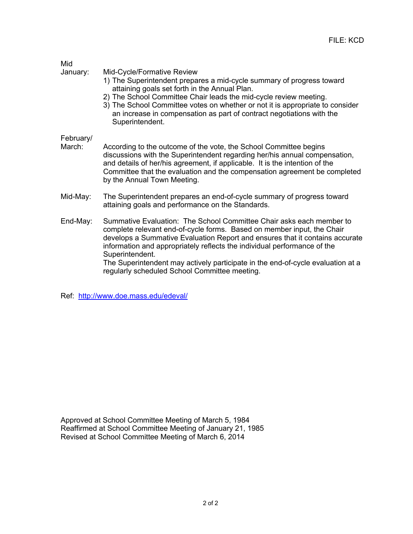| × | . . |
|---|-----|
|   |     |

January: Mid-Cycle/Formative Review

- 1) The Superintendent prepares a mid-cycle summary of progress toward attaining goals set forth in the Annual Plan.
- 2) The School Committee Chair leads the mid-cycle review meeting.
- 3) The School Committee votes on whether or not it is appropriate to consider an increase in compensation as part of contract negotiations with the Superintendent.

### February/

- March: According to the outcome of the vote, the School Committee begins discussions with the Superintendent regarding her/his annual compensation, and details of her/his agreement, if applicable. It is the intention of the Committee that the evaluation and the compensation agreement be completed by the Annual Town Meeting.
- Mid-May: The Superintendent prepares an end-of-cycle summary of progress toward attaining goals and performance on the Standards.
- End-May: Summative Evaluation: The School Committee Chair asks each member to complete relevant end-of-cycle forms. Based on member input, the Chair develops a Summative Evaluation Report and ensures that it contains accurate information and appropriately reflects the individual performance of the Superintendent.

The Superintendent may actively participate in the end-of-cycle evaluation at a regularly scheduled School Committee meeting.

Ref: http://www.doe.mass.edu/edeval/

Approved at School Committee Meeting of March 5, 1984 Reaffirmed at School Committee Meeting of January 21, 1985 Revised at School Committee Meeting of March 6, 2014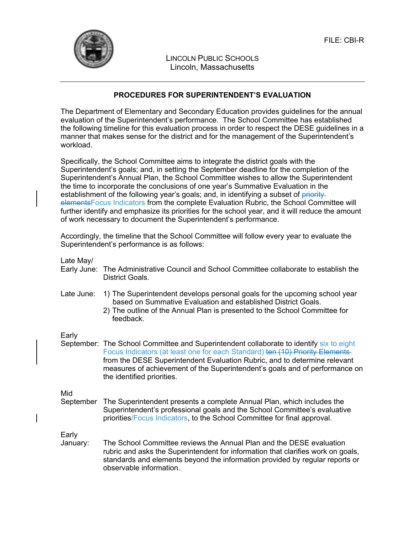

LINCOLN PUBLIC SCHOOLS Lincoln, Massachusetts

### **PROCEDURES FOR SUPERINTENDENT'S EVALUATION**

The Department of Elementary and Secondary Education provides guidelines for the annual evaluation of the Superintendent's performance. The School Committee has established the following timeline for this evaluation process in order to respect the DESE guidelines in a manner that makes sense for the district and for the management of the Superintendent's workload.

Specifically, the School Committee aims to integrate the district goals with the Superintendent's goals; and, in setting the September deadline for the completion of the Superintendent's Annual Plan, the School Committee wishes to allow the Superintendent the time to incorporate the conclusions of one year's Summative Evaluation in the establishment of the following year's goals; and, in identifying a subset of priorityelementsFocus Indicators from the complete Evaluation Rubric, the School Committee will further identify and emphasize its priorities for the school year, and it will reduce the amount of work necessary to document the Superintendent's performance.

Accordingly, the timeline that the School Committee will follow every year to evaluate the Superintendent's performance is as follows:

Late May/

- Early June: The Administrative Council and School Committee collaborate to establish the District Goals.
- Late June: 1) The Superintendent develops personal goals for the upcoming school year based on Summative Evaluation and established District Goals.
	- 2) The outline of the Annual Plan is presented to the School Committee for feedback.

Early

September: The School Committee and Superintendent collaborate to identify six to eight Focus Indicators (at least one for each Standard) ten (10) Priority Elements from the DESE Superintendent Evaluation Rubric, and to determine relevant measures of achievement of the Superintendent's goals and of performance on the identified priorities.

Mid

September The Superintendent presents a complete Annual Plan, which includes the Superintendent's professional goals and the School Committee's evaluative priorities/Focus Indicators, to the School Committee for final approval.

Early

January: The School Committee reviews the Annual Plan and the DESE evaluation rubric and asks the Superintendent for information that clarifies work on goals, standards and elements beyond the information provided by regular reports or observable information.